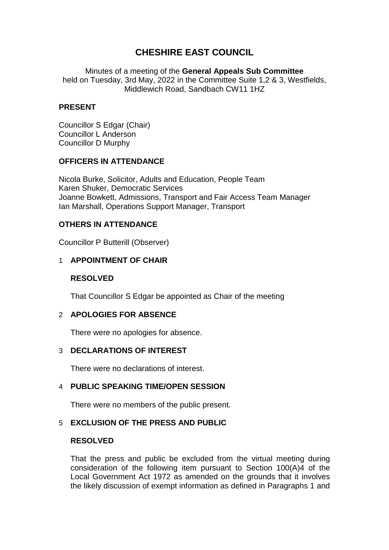# **CHESHIRE EAST COUNCIL**

Minutes of a meeting of the **General Appeals Sub Committee** held on Tuesday, 3rd May, 2022 in the Committee Suite 1,2 & 3, Westfields, Middlewich Road, Sandbach CW11 1HZ

# **PRESENT**

Councillor S Edgar (Chair) Councillor L Anderson Councillor D Murphy

## **OFFICERS IN ATTENDANCE**

Nicola Burke, Solicitor, Adults and Education, People Team Karen Shuker, Democratic Services Joanne Bowkett, Admissions, Transport and Fair Access Team Manager Ian Marshall, Operations Support Manager, Transport

# **OTHERS IN ATTENDANCE**

Councillor P Butterill (Observer)

# 1 **APPOINTMENT OF CHAIR**

## **RESOLVED**

That Councillor S Edgar be appointed as Chair of the meeting

# 2 **APOLOGIES FOR ABSENCE**

There were no apologies for absence.

## 3 **DECLARATIONS OF INTEREST**

There were no declarations of interest.

## 4 **PUBLIC SPEAKING TIME/OPEN SESSION**

There were no members of the public present.

## 5 **EXCLUSION OF THE PRESS AND PUBLIC**

#### **RESOLVED**

That the press and public be excluded from the virtual meeting during consideration of the following item pursuant to Section 100(A)4 of the Local Government Act 1972 as amended on the grounds that it involves the likely discussion of exempt information as defined in Paragraphs 1 and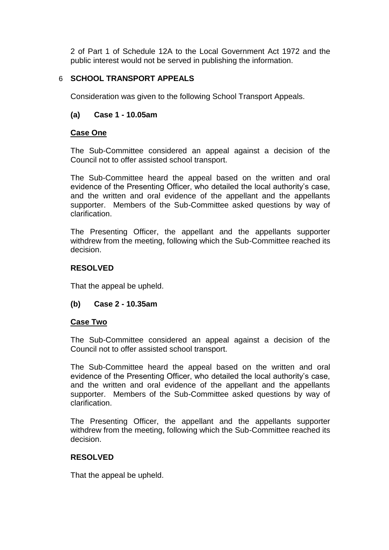2 of Part 1 of Schedule 12A to the Local Government Act 1972 and the public interest would not be served in publishing the information.

# 6 **SCHOOL TRANSPORT APPEALS**

Consideration was given to the following School Transport Appeals.

## **(a) Case 1 - 10.05am**

#### **Case One**

The Sub-Committee considered an appeal against a decision of the Council not to offer assisted school transport.

The Sub-Committee heard the appeal based on the written and oral evidence of the Presenting Officer, who detailed the local authority's case, and the written and oral evidence of the appellant and the appellants supporter. Members of the Sub-Committee asked questions by way of clarification.

The Presenting Officer, the appellant and the appellants supporter withdrew from the meeting, following which the Sub-Committee reached its decision.

#### **RESOLVED**

That the appeal be upheld.

#### **(b) Case 2 - 10.35am**

#### **Case Two**

The Sub-Committee considered an appeal against a decision of the Council not to offer assisted school transport.

The Sub-Committee heard the appeal based on the written and oral evidence of the Presenting Officer, who detailed the local authority's case, and the written and oral evidence of the appellant and the appellants supporter. Members of the Sub-Committee asked questions by way of clarification.

The Presenting Officer, the appellant and the appellants supporter withdrew from the meeting, following which the Sub-Committee reached its decision.

#### **RESOLVED**

That the appeal be upheld.